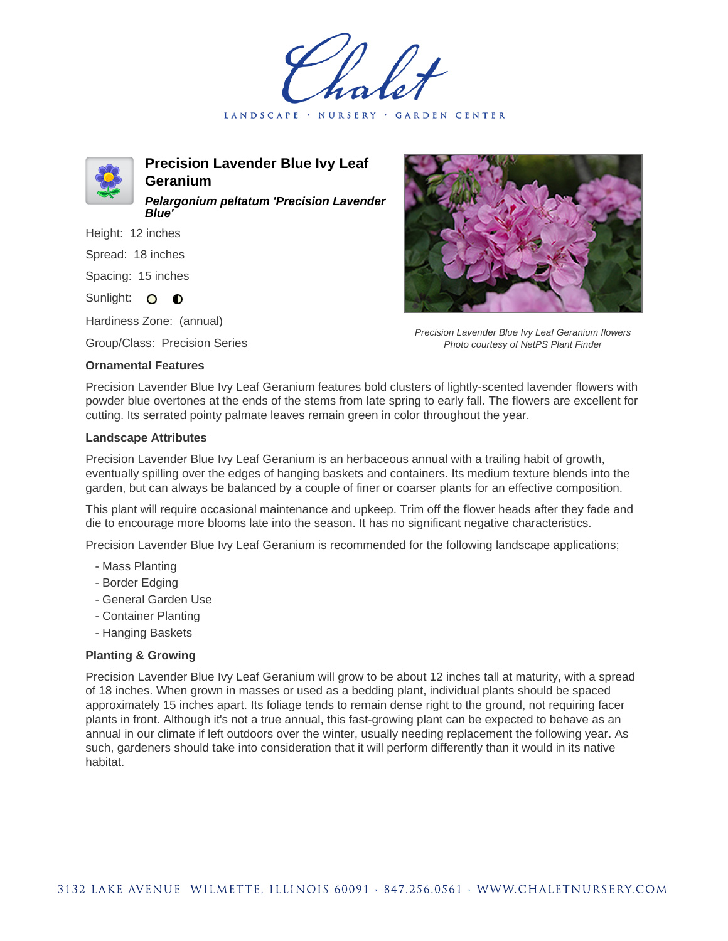LANDSCAPE · NURSERY GARDEN CENTER



**Precision Lavender Blue Ivy Leaf Geranium Pelargonium peltatum 'Precision Lavender Blue'**

Height: 12 inches Spread: 18 inches Spacing: 15 inches

Sunlight: O **O** 

Hardiness Zone: (annual)

Group/Class: Precision Series

## **Ornamental Features**



Precision Lavender Blue Ivy Leaf Geranium flowers Photo courtesy of NetPS Plant Finder

Precision Lavender Blue Ivy Leaf Geranium features bold clusters of lightly-scented lavender flowers with powder blue overtones at the ends of the stems from late spring to early fall. The flowers are excellent for cutting. Its serrated pointy palmate leaves remain green in color throughout the year.

## **Landscape Attributes**

Precision Lavender Blue Ivy Leaf Geranium is an herbaceous annual with a trailing habit of growth, eventually spilling over the edges of hanging baskets and containers. Its medium texture blends into the garden, but can always be balanced by a couple of finer or coarser plants for an effective composition.

This plant will require occasional maintenance and upkeep. Trim off the flower heads after they fade and die to encourage more blooms late into the season. It has no significant negative characteristics.

Precision Lavender Blue Ivy Leaf Geranium is recommended for the following landscape applications;

- Mass Planting
- Border Edging
- General Garden Use
- Container Planting
- Hanging Baskets

## **Planting & Growing**

Precision Lavender Blue Ivy Leaf Geranium will grow to be about 12 inches tall at maturity, with a spread of 18 inches. When grown in masses or used as a bedding plant, individual plants should be spaced approximately 15 inches apart. Its foliage tends to remain dense right to the ground, not requiring facer plants in front. Although it's not a true annual, this fast-growing plant can be expected to behave as an annual in our climate if left outdoors over the winter, usually needing replacement the following year. As such, gardeners should take into consideration that it will perform differently than it would in its native habitat.